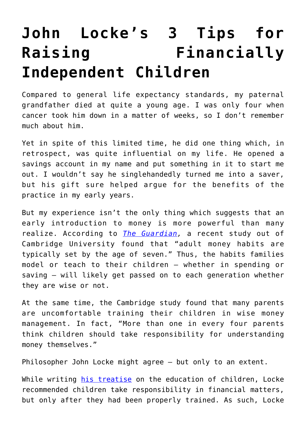## **[John Locke's 3 Tips for](https://intellectualtakeout.org/2018/03/john-lockes-3-tips-for-raising-financially-independent-children/) [Raising Financially](https://intellectualtakeout.org/2018/03/john-lockes-3-tips-for-raising-financially-independent-children/) [Independent Children](https://intellectualtakeout.org/2018/03/john-lockes-3-tips-for-raising-financially-independent-children/)**

Compared to general life expectancy standards, my paternal grandfather died at quite a young age. I was only four when cancer took him down in a matter of weeks, so I don't remember much about him.

Yet in spite of this limited time, he did one thing which, in retrospect, was quite influential on my life. He opened a savings account in my name and put something in it to start me out. I wouldn't say he singlehandedly turned me into a saver, but his gift sure helped argue for the benefits of the practice in my early years.

But my experience isn't the only thing which suggests that an early introduction to money is more powerful than many realize. According to *[The Guardian](https://www.theguardian.com/money/2018/mar/12/game-on-its-never-too-early-to-teach-children-about-money),* a recent study out of Cambridge University found that "adult money habits are typically set by the age of seven." Thus, the habits families model or teach to their children – whether in spending or saving – will likely get passed on to each generation whether they are wise or not.

At the same time, the Cambridge study found that many parents are uncomfortable training their children in wise money management. In fact, "More than one in every four parents think children should take responsibility for understanding money themselves."

Philosopher John Locke might agree – but only to an extent.

While writing [his treatise](http://oll.libertyfund.org/titles/locke-the-works-vol-8-some-thoughts-concerning-education-posthumous-works-familiar-letters) on the education of children, Locke recommended children take responsibility in financial matters, but only after they had been properly trained. As such, Locke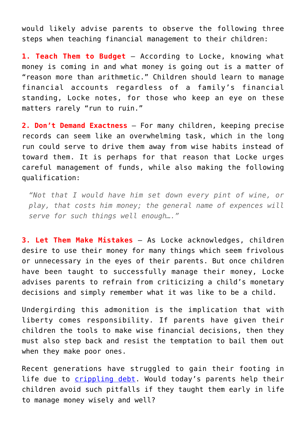would likely advise parents to observe the following three steps when teaching financial management to their children:

**1. Teach Them to Budget** – According to Locke, knowing what money is coming in and what money is going out is a matter of "reason more than arithmetic." Children should learn to manage financial accounts regardless of a family's financial standing, Locke notes, for those who keep an eye on these matters rarely "run to ruin."

**2. Don't Demand Exactness** – For many children, keeping precise records can seem like an overwhelming task, which in the long run could serve to drive them away from wise habits instead of toward them. It is perhaps for that reason that Locke urges careful management of funds, while also making the following qualification:

*"Not that I would have him set down every pint of wine, or play, that costs him money; the general name of expences will serve for such things well enough…."*

**3. Let Them Make Mistakes** – As Locke acknowledges, children desire to use their money for many things which seem frivolous or unnecessary in the eyes of their parents. But once children have been taught to successfully manage their money, Locke advises parents to refrain from criticizing a child's monetary decisions and simply remember what it was like to be a child.

Undergirding this admonition is the implication that with liberty comes responsibility. If parents have given their children the tools to make wise financial decisions, then they must also step back and resist the temptation to bail them out when they make poor ones.

Recent generations have struggled to gain their footing in life due to [crippling debt.](https://www.forbes.com/sites/sarahlandrum/2017/10/20/the-impact-of-student-loan-debt-on-millennial-happiness/#175eaed47125) Would today's parents help their children avoid such pitfalls if they taught them early in life to manage money wisely and well?